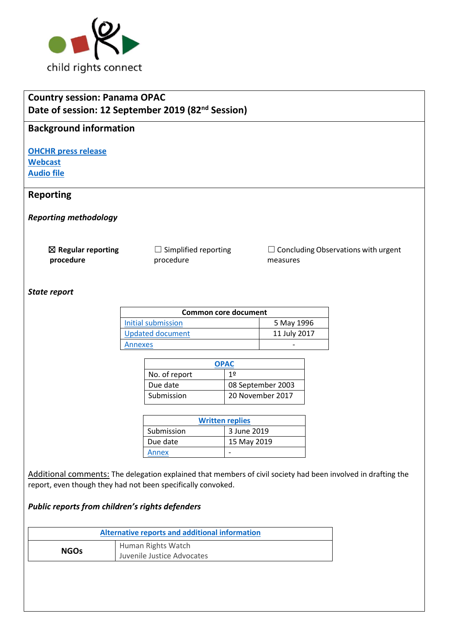

| Date of session: 12 September 2019 (82 <sup>nd</sup> Session)<br><b>Background information</b><br><b>OHCHR press release</b><br><b>Webcast</b><br><b>Audio file</b><br><b>Reporting</b><br><b>Reporting methodology</b> |                                                       |                                       |                                                        |  |
|-------------------------------------------------------------------------------------------------------------------------------------------------------------------------------------------------------------------------|-------------------------------------------------------|---------------------------------------|--------------------------------------------------------|--|
|                                                                                                                                                                                                                         |                                                       |                                       |                                                        |  |
|                                                                                                                                                                                                                         |                                                       |                                       |                                                        |  |
|                                                                                                                                                                                                                         |                                                       |                                       |                                                        |  |
|                                                                                                                                                                                                                         |                                                       |                                       |                                                        |  |
|                                                                                                                                                                                                                         |                                                       |                                       |                                                        |  |
|                                                                                                                                                                                                                         |                                                       |                                       |                                                        |  |
|                                                                                                                                                                                                                         |                                                       |                                       |                                                        |  |
| $\boxtimes$ Regular reporting<br>procedure                                                                                                                                                                              | $\Box$ Simplified reporting<br>procedure              |                                       | $\Box$ Concluding Observations with urgent<br>measures |  |
|                                                                                                                                                                                                                         |                                                       |                                       |                                                        |  |
| State report                                                                                                                                                                                                            |                                                       |                                       |                                                        |  |
|                                                                                                                                                                                                                         |                                                       |                                       |                                                        |  |
|                                                                                                                                                                                                                         | <b>Initial submission</b>                             | <b>Common core document</b>           | 5 May 1996                                             |  |
|                                                                                                                                                                                                                         | <b>Updated document</b>                               |                                       | 11 July 2017                                           |  |
|                                                                                                                                                                                                                         | Annexes                                               |                                       |                                                        |  |
|                                                                                                                                                                                                                         |                                                       |                                       |                                                        |  |
|                                                                                                                                                                                                                         |                                                       | <b>OPAC</b>                           |                                                        |  |
|                                                                                                                                                                                                                         | No. of report<br>Due date                             | 1 <sup>°</sup>                        |                                                        |  |
|                                                                                                                                                                                                                         | Submission                                            | 08 September 2003<br>20 November 2017 |                                                        |  |
|                                                                                                                                                                                                                         |                                                       |                                       |                                                        |  |
|                                                                                                                                                                                                                         |                                                       | <b>Written replies</b>                |                                                        |  |
|                                                                                                                                                                                                                         | Submission                                            | 3 June 2019                           |                                                        |  |
|                                                                                                                                                                                                                         | Due date                                              | 15 May 2019                           |                                                        |  |
|                                                                                                                                                                                                                         | <b>Annex</b>                                          | $\overline{\phantom{a}}$              |                                                        |  |
|                                                                                                                                                                                                                         |                                                       |                                       |                                                        |  |
| Additional comments: The delegation explained that members of civil society had been involved in drafting the                                                                                                           |                                                       |                                       |                                                        |  |
| report, even though they had not been specifically convoked.                                                                                                                                                            |                                                       |                                       |                                                        |  |
| Public reports from children's rights defenders                                                                                                                                                                         |                                                       |                                       |                                                        |  |
|                                                                                                                                                                                                                         | <b>Alternative reports and additional information</b> |                                       |                                                        |  |
| <b>NGOs</b>                                                                                                                                                                                                             | Human Rights Watch                                    |                                       |                                                        |  |
|                                                                                                                                                                                                                         | Juvenile Justice Advocates                            |                                       |                                                        |  |
|                                                                                                                                                                                                                         |                                                       |                                       |                                                        |  |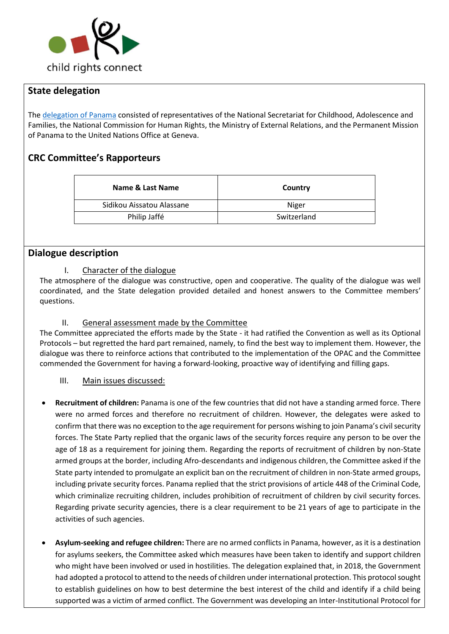

## **State delegation**

The [delegation of Panama](https://tbinternet.ohchr.org/Treaties/CRC/Shared%20Documents/PAN/INT_CRC_LOP_PAN_29866_S.pdf) consisted of representatives of the National Secretariat for Childhood, Adolescence and Families, the National Commission for Human Rights, the Ministry of External Relations, and the Permanent Mission of Panama to the United Nations Office at Geneva.

# **CRC Committee's Rapporteurs**

| Name & Last Name          | Country     |  |
|---------------------------|-------------|--|
| Sidikou Aissatou Alassane | Niger       |  |
| Philip Jaffé              | Switzerland |  |

### **Dialogue description**

#### I. Character of the dialogue

The atmosphere of the dialogue was constructive, open and cooperative. The quality of the dialogue was well coordinated, and the State delegation provided detailed and honest answers to the Committee members' questions.

#### II. General assessment made by the Committee

The Committee appreciated the efforts made by the State - it had ratified the Convention as well as its Optional Protocols – but regretted the hard part remained, namely, to find the best way to implement them. However, the dialogue was there to reinforce actions that contributed to the implementation of the OPAC and the Committee commended the Government for having a forward-looking, proactive way of identifying and filling gaps.

#### III. Main issues discussed:

- **Recruitment of children:** Panama is one of the few countries that did not have a standing armed force. There were no armed forces and therefore no recruitment of children. However, the delegates were asked to confirm that there was no exception to the age requirement for persons wishing to join Panama's civil security forces. The State Party replied that the organic laws of the security forces require any person to be over the age of 18 as a requirement for joining them. Regarding the reports of recruitment of children by non-State armed groups at the border, including Afro-descendants and indigenous children, the Committee asked if the State party intended to promulgate an explicit ban on the recruitment of children in non-State armed groups, including private security forces. Panama replied that the strict provisions of article 448 of the Criminal Code, which criminalize recruiting children, includes prohibition of recruitment of children by civil security forces. Regarding private security agencies, there is a clear requirement to be 21 years of age to participate in the activities of such agencies.
- **Asylum-seeking and refugee children:** There are no armed conflicts in Panama, however, as it is a destination for asylums seekers, the Committee asked which measures have been taken to identify and support children who might have been involved or used in hostilities. The delegation explained that, in 2018, the Government had adopted a protocol to attend to the needs of children under international protection. This protocol sought to establish guidelines on how to best determine the best interest of the child and identify if a child being supported was a victim of armed conflict. The Government was developing an Inter-Institutional Protocol for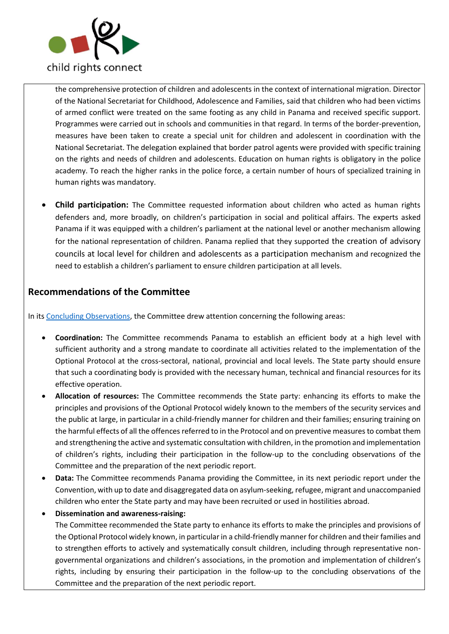

the comprehensive protection of children and adolescents in the context of international migration. Director of the National Secretariat for Childhood, Adolescence and Families, said that children who had been victims of armed conflict were treated on the same footing as any child in Panama and received specific support. Programmes were carried out in schools and communities in that regard. In terms of the border-prevention, measures have been taken to create a special unit for children and adolescent in coordination with the National Secretariat. The delegation explained that border patrol agents were provided with specific training on the rights and needs of children and adolescents. Education on human rights is obligatory in the police academy. To reach the higher ranks in the police force, a certain number of hours of specialized training in human rights was mandatory.

• **Child participation:** The Committee requested information about children who acted as human rights defenders and, more broadly, on children's participation in social and political affairs. The experts asked Panama if it was equipped with a children's parliament at the national level or another mechanism allowing for the national representation of children. Panama replied that they supported the creation of advisory councils at local level for children and adolescents as a participation mechanism and recognized the need to establish a children's parliament to ensure children participation at all levels.

## **Recommendations of the Committee**

In its Concluding [Observations,](https://tbinternet.ohchr.org/_layouts/15/treatybodyexternal/Download.aspx?symbolno=CRC%2fC%2fOPAC%2fPAN%2fCO%2f1&Lang=en) the Committee drew attention concerning the following areas:

- **Coordination:** The Committee recommends Panama to establish an efficient body at a high level with sufficient authority and a strong mandate to coordinate all activities related to the implementation of the Optional Protocol at the cross-sectoral, national, provincial and local levels. The State party should ensure that such a coordinating body is provided with the necessary human, technical and financial resources for its effective operation.
- **Allocation of resources:** The Committee recommends the State party: enhancing its efforts to make the principles and provisions of the Optional Protocol widely known to the members of the security services and the public at large, in particular in a child-friendly manner for children and their families; ensuring training on the harmful effects of all the offences referred to in the Protocol and on preventive measures to combat them and strengthening the active and systematic consultation with children, in the promotion and implementation of children's rights, including their participation in the follow-up to the concluding observations of the Committee and the preparation of the next periodic report.
- **Data:** The Committee recommends Panama providing the Committee, in its next periodic report under the Convention, with up to date and disaggregated data on asylum-seeking, refugee, migrant and unaccompanied children who enter the State party and may have been recruited or used in hostilities abroad.
- **Dissemination and awareness-raising:**

The Committee recommended the State party to enhance its efforts to make the principles and provisions of the Optional Protocol widely known, in particular in a child-friendly manner for children and their families and to strengthen efforts to actively and systematically consult children, including through representative nongovernmental organizations and children's associations, in the promotion and implementation of children's rights, including by ensuring their participation in the follow-up to the concluding observations of the Committee and the preparation of the next periodic report.